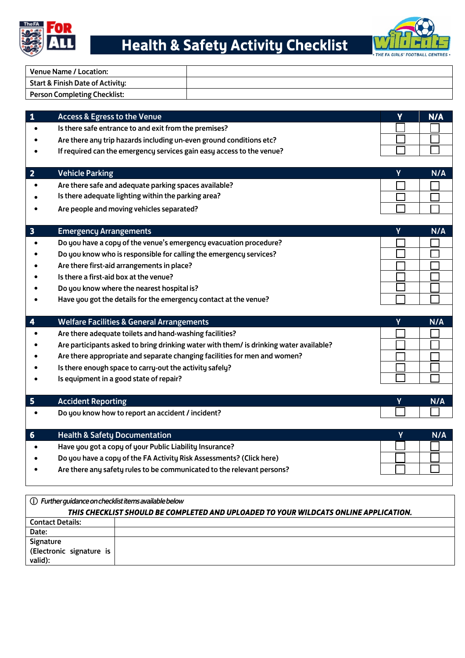

# Health & Safety Activity Checklist



| <b>Start &amp; Finish Date of Activity:</b>                                            |          |
|----------------------------------------------------------------------------------------|----------|
| <b>Person Completing Checklist:</b>                                                    |          |
| <b>Access &amp; Egress to the Venue</b>                                                | v<br>N/A |
| Is there safe entrance to and exit from the premises?                                  |          |
| Are there any trip hazards including un-even ground conditions etc?                    |          |
| If required can the emergency services gain easy access to the venue?                  |          |
| <b>Vehicle Parking</b>                                                                 | γ<br>N/A |
| Are there safe and adequate parking spaces available?                                  |          |
| Is there adequate lighting within the parking area?                                    |          |
| Are people and moving vehicles separated?                                              |          |
| <b>Emergency Arrangements</b>                                                          | γ<br>N/A |
| Do you have a copy of the venue's emergency evacuation procedure?                      |          |
| Do you know who is responsible for calling the emergency services?                     |          |
| Are there first-aid arrangements in place?                                             |          |
| Is there a first-aid box at the venue?                                                 |          |
| Do you know where the nearest hospital is?                                             |          |
| Have you got the details for the emergency contact at the venue?                       |          |
| <b>Welfare Facilities &amp; General Arrangements</b>                                   | Y<br>N/A |
| Are there adequate toilets and hand-washing facilities?                                |          |
| Are participants asked to bring drinking water with them/ is drinking water available? |          |
| Are there appropriate and separate changing facilities for men and women?              |          |
| Is there enough space to carry-out the activity safely?                                |          |
| Is equipment in a good state of repair?                                                |          |
| <b>Accident Reporting</b>                                                              | γ<br>N/A |
| Do you know how to report an accident / incident?                                      |          |
| <b>Health &amp; Safety Documentation</b>                                               | N/A      |
| Have you got a copy of your Public Liability Insurance?                                |          |
| Do you have a copy of the FA Activity Risk Assessments? (Click here)                   |          |
|                                                                                        |          |

| THIS CHECKLIST SHOULD BE COMPLETED AND UPLOADED TO YOUR WILDCATS ONLINE APPLICATION. |  |  |
|--------------------------------------------------------------------------------------|--|--|
| <b>Contact Details:</b>                                                              |  |  |
| Date:                                                                                |  |  |
| Signature                                                                            |  |  |
| (Electronic signature is                                                             |  |  |
| valid):                                                                              |  |  |